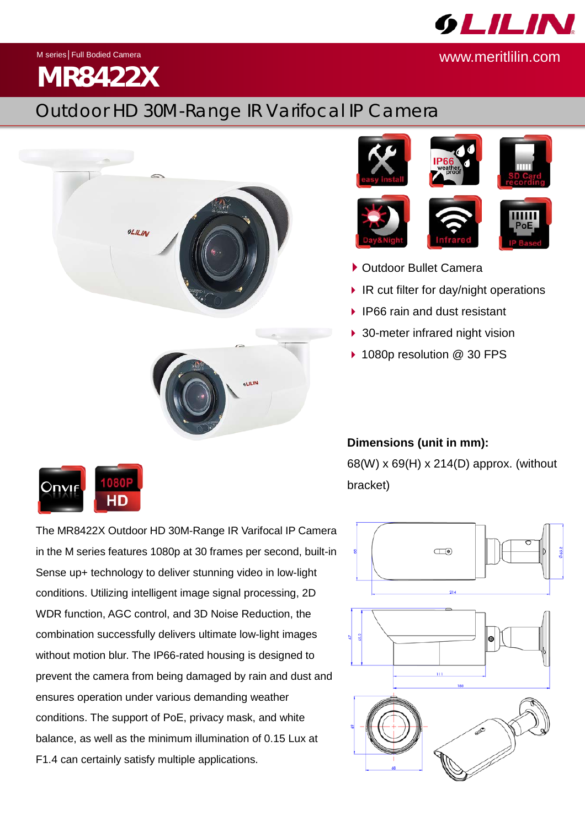**GLILIN** 

www.meritlilin.com

M series│Full Bodied Camera

## **MR8422X**

## Outdoor HD 30M-Range IR Varifocal IP Camera











- ▶ Outdoor Bullet Camera
- $\blacktriangleright$  IR cut filter for day/night operations
- IP66 rain and dust resistant
- 30-meter infrared night vision
- 1080p resolution @ 30 FPS

HD

**Dimensions (unit in mm):** 68(W) x 69(H) x 214(D) approx. (without bracket)

 $\Box$ 

The MR8422X Outdoor HD 30M-Range IR Varifocal IP Camera in the M series features 1080p at 30 frames per second, built-in Sense up+ technology to deliver stunning video in low-light conditions. Utilizing intelligent image signal processing, 2D WDR function, AGC control, and 3D Noise Reduction, the combination successfully delivers ultimate low-light images without motion blur. The IP66-rated housing is designed to prevent the camera from being damaged by rain and dust and ensures operation under various demanding weather conditions. The support of PoE, privacy mask, and white balance, as well as the minimum illumination of 0.15 Lux at F1.4 can certainly satisfy multiple applications.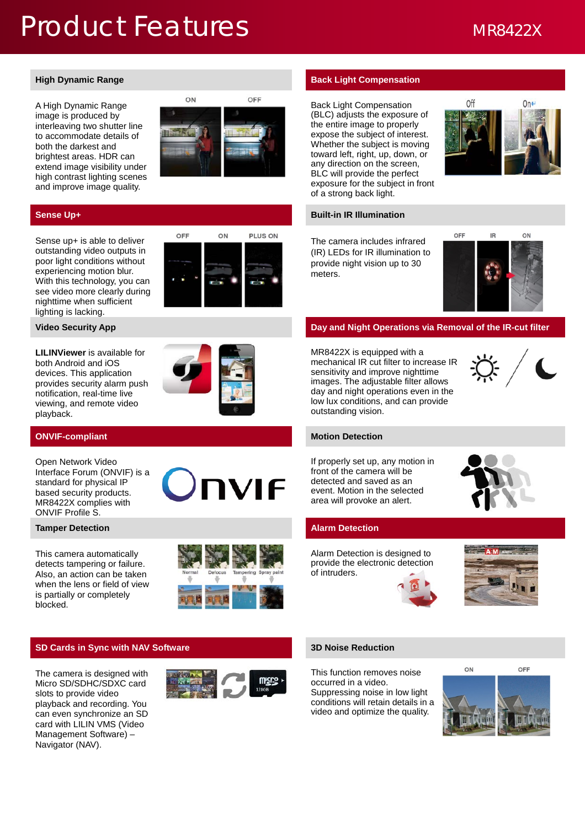## Product Features MR8422X

A High Dynamic Range image is produced by interleaving two shutter line to accommodate details of both the darkest and brightest areas. HDR can extend image visibility under high contrast lighting scenes and improve image quality.



Sense up+ is able to deliver outstanding video outputs in poor light conditions without experiencing motion blur. With this technology, you can see video more clearly during nighttime when sufficient lighting is lacking.



**LILINViewer** is available for both Android and iOS devices. This application provides security alarm push notification, real-time live viewing, and remote video playback.



### **ONVIF-compliant Motion Detection**

Open Network Video Interface Forum (ONVIF) is a standard for physical IP based security products. MR8422X complies with ONVIF Profile S.

### **Tamper Detection Alarm Detection**

This camera automatically detects tampering or failure. Also, an action can be taken when the lens or field of view is partially or completely blocked.





### **SD Cards in Sync with NAV Software 3D Noise Reduction**

The camera is designed with Micro SD/SDHC/SDXC card slots to provide video playback and recording. You can even synchronize an SD card with LILIN VMS (Video Management Software) – Navigator (NAV).



### **High Dynamic Range <b>Back Light Compensation Back Light Compensation**

Back Light Compensation (BLC) adjusts the exposure of the entire image to properly expose the subject of interest. Whether the subject is moving toward left, right, up, down, or any direction on the screen, BLC will provide the perfect exposure for the subject in front of a strong back light.



### **Sense Up+ Built-in IR Illumination**

The camera includes infrared (IR) LEDs for IR illumination to provide night vision up to 30 meters.



### **Video Security App <b>Day and Night Operations via Removal of the IR-cut filter Day and Night Operations via Removal of the IR-cut filter**

MR8422X is equipped with a mechanical IR cut filter to increase IR sensitivity and improve nighttime images. The adjustable filter allows day and night operations even in the low lux conditions, and can provide outstanding vision.



If properly set up, any motion in front of the camera will be detected and saved as an event. Motion in the selected area will provoke an alert.



Alarm Detection is designed to provide the electronic detection of intruders.





This function removes noise occurred in a video. Suppressing noise in low light conditions will retain details in a video and optimize the quality.